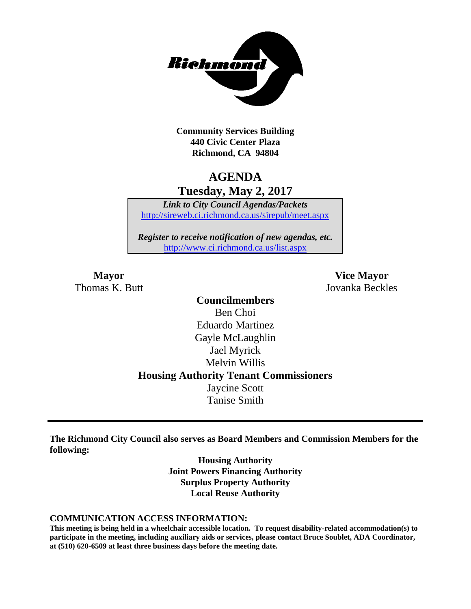

**Community Services Building 440 Civic Center Plaza Richmond, CA 94804**

## **AGENDA Tuesday, May 2, 2017**

*Link to City Council Agendas/Packets* <http://sireweb.ci.richmond.ca.us/sirepub/meet.aspx>

*Register to receive notification of new agendas, etc.* <http://www.ci.richmond.ca.us/list.aspx>

Thomas K. Butt Jovanka Beckles

**Mayor Vice Mayor**

**Councilmembers** Ben Choi Eduardo Martinez Gayle McLaughlin Jael Myrick Melvin Willis **Housing Authority Tenant Commissioners** Jaycine Scott Tanise Smith

**The Richmond City Council also serves as Board Members and Commission Members for the following:**

> **Housing Authority Joint Powers Financing Authority Surplus Property Authority Local Reuse Authority**

#### **COMMUNICATION ACCESS INFORMATION:**

**This meeting is being held in a wheelchair accessible location. To request disability-related accommodation(s) to participate in the meeting, including auxiliary aids or services, please contact Bruce Soublet, ADA Coordinator, at (510) 620-6509 at least three business days before the meeting date.**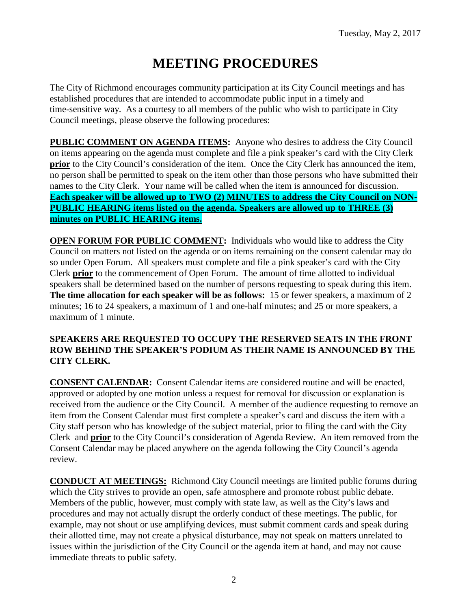# **MEETING PROCEDURES**

The City of Richmond encourages community participation at its City Council meetings and has established procedures that are intended to accommodate public input in a timely and time-sensitive way. As a courtesy to all members of the public who wish to participate in City Council meetings, please observe the following procedures:

**PUBLIC COMMENT ON AGENDA ITEMS:** Anyone who desires to address the City Council on items appearing on the agenda must complete and file a pink speaker's card with the City Clerk **prior** to the City Council's consideration of the item. Once the City Clerk has announced the item, no person shall be permitted to speak on the item other than those persons who have submitted their names to the City Clerk. Your name will be called when the item is announced for discussion. **Each speaker will be allowed up to TWO (2) MINUTES to address the City Council on NON-PUBLIC HEARING items listed on the agenda. Speakers are allowed up to THREE (3) minutes on PUBLIC HEARING items.**

**OPEN FORUM FOR PUBLIC COMMENT:** Individuals who would like to address the City Council on matters not listed on the agenda or on items remaining on the consent calendar may do so under Open Forum. All speakers must complete and file a pink speaker's card with the City Clerk **prior** to the commencement of Open Forum. The amount of time allotted to individual speakers shall be determined based on the number of persons requesting to speak during this item. **The time allocation for each speaker will be as follows:** 15 or fewer speakers, a maximum of 2 minutes; 16 to 24 speakers, a maximum of 1 and one-half minutes; and 25 or more speakers, a maximum of 1 minute.

### **SPEAKERS ARE REQUESTED TO OCCUPY THE RESERVED SEATS IN THE FRONT ROW BEHIND THE SPEAKER'S PODIUM AS THEIR NAME IS ANNOUNCED BY THE CITY CLERK.**

**CONSENT CALENDAR:** Consent Calendar items are considered routine and will be enacted, approved or adopted by one motion unless a request for removal for discussion or explanation is received from the audience or the City Council. A member of the audience requesting to remove an item from the Consent Calendar must first complete a speaker's card and discuss the item with a City staff person who has knowledge of the subject material, prior to filing the card with the City Clerk and **prior** to the City Council's consideration of Agenda Review. An item removed from the Consent Calendar may be placed anywhere on the agenda following the City Council's agenda review.

**CONDUCT AT MEETINGS:** Richmond City Council meetings are limited public forums during which the City strives to provide an open, safe atmosphere and promote robust public debate. Members of the public, however, must comply with state law, as well as the City's laws and procedures and may not actually disrupt the orderly conduct of these meetings. The public, for example, may not shout or use amplifying devices, must submit comment cards and speak during their allotted time, may not create a physical disturbance, may not speak on matters unrelated to issues within the jurisdiction of the City Council or the agenda item at hand, and may not cause immediate threats to public safety.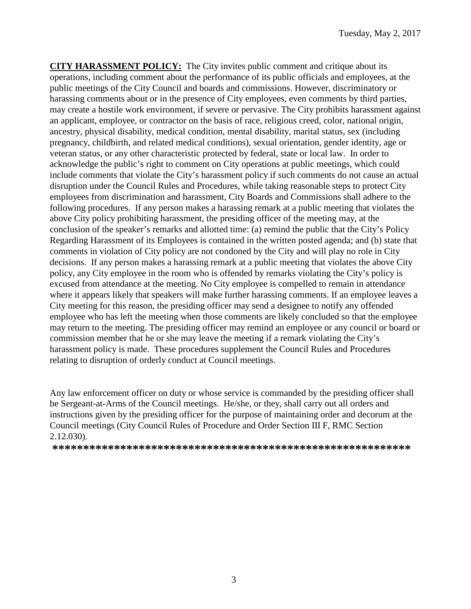**CITY HARASSMENT POLICY:** The City invites public comment and critique about its operations, including comment about the performance of its public officials and employees, at the public meetings of the City Council and boards and commissions. However, discriminatory or harassing comments about or in the presence of City employees, even comments by third parties, may create a hostile work environment, if severe or pervasive. The City prohibits harassment against an applicant, employee, or contractor on the basis of race, religious creed, color, national origin, ancestry, physical disability, medical condition, mental disability, marital status, sex (including pregnancy, childbirth, and related medical conditions), sexual orientation, gender identity, age or veteran status, or any other characteristic protected by federal, state or local law. In order to acknowledge the public's right to comment on City operations at public meetings, which could include comments that violate the City's harassment policy if such comments do not cause an actual disruption under the Council Rules and Procedures, while taking reasonable steps to protect City employees from discrimination and harassment, City Boards and Commissions shall adhere to the following procedures. If any person makes a harassing remark at a public meeting that violates the above City policy prohibiting harassment, the presiding officer of the meeting may, at the conclusion of the speaker's remarks and allotted time: (a) remind the public that the City's Policy Regarding Harassment of its Employees is contained in the written posted agenda; and (b) state that comments in violation of City policy are not condoned by the City and will play no role in City decisions. If any person makes a harassing remark at a public meeting that violates the above City policy, any City employee in the room who is offended by remarks violating the City's policy is excused from attendance at the meeting. No City employee is compelled to remain in attendance where it appears likely that speakers will make further harassing comments. If an employee leaves a City meeting for this reason, the presiding officer may send a designee to notify any offended employee who has left the meeting when those comments are likely concluded so that the employee may return to the meeting. The presiding officer may remind an employee or any council or board or commission member that he or she may leave the meeting if a remark violating the City's harassment policy is made. These procedures supplement the Council Rules and Procedures relating to disruption of orderly conduct at Council meetings.

Any law enforcement officer on duty or whose service is commanded by the presiding officer shall be Sergeant-at-Arms of the Council meetings. He/she, or they, shall carry out all orders and instructions given by the presiding officer for the purpose of maintaining order and decorum at the Council meetings (City Council Rules of Procedure and Order Section III F, RMC Section 2.12.030).

**\*\*\*\*\*\*\*\*\*\*\*\*\*\*\*\*\*\*\*\*\*\*\*\*\*\*\*\*\*\*\*\*\*\*\*\*\*\*\*\*\*\*\*\*\*\*\*\*\*\*\*\*\*\*\*\*\*\***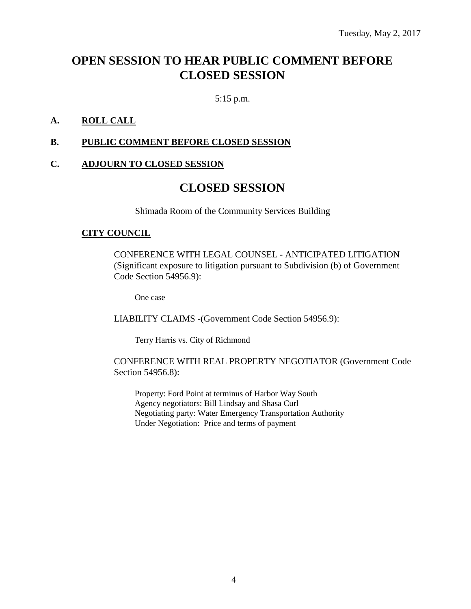# **OPEN SESSION TO HEAR PUBLIC COMMENT BEFORE CLOSED SESSION**

5:15 p.m.

### **A. ROLL CALL**

### **B. PUBLIC COMMENT BEFORE CLOSED SESSION**

### **C. ADJOURN TO CLOSED SESSION**

### **CLOSED SESSION**

Shimada Room of the Community Services Building

### **CITY COUNCIL**

CONFERENCE WITH LEGAL COUNSEL - ANTICIPATED LITIGATION (Significant exposure to litigation pursuant to Subdivision (b) of Government Code Section 54956.9):

One case

LIABILITY CLAIMS -(Government Code Section 54956.9):

Terry Harris vs. City of Richmond

#### CONFERENCE WITH REAL PROPERTY NEGOTIATOR (Government Code Section 54956.8):

Property: Ford Point at terminus of Harbor Way South Agency negotiators: Bill Lindsay and Shasa Curl Negotiating party: Water Emergency Transportation Authority Under Negotiation: Price and terms of payment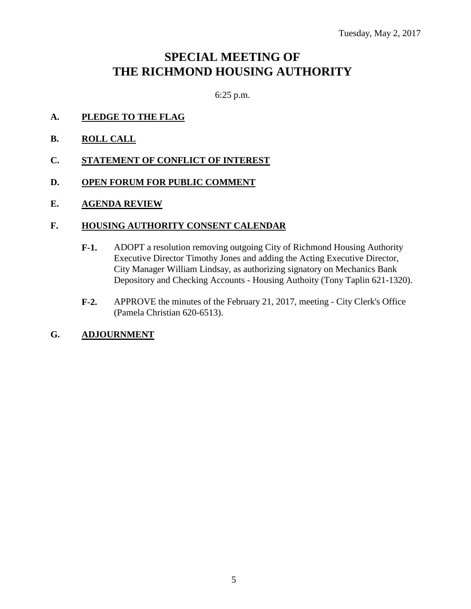# **SPECIAL MEETING OF THE RICHMOND HOUSING AUTHORITY**

6:25 p.m.

- **A. PLEDGE TO THE FLAG**
- **B. ROLL CALL**
- **C. STATEMENT OF CONFLICT OF INTEREST**
- **D. OPEN FORUM FOR PUBLIC COMMENT**
- **E. AGENDA REVIEW**

#### **F. HOUSING AUTHORITY CONSENT CALENDAR**

- **F-1.** ADOPT a resolution removing outgoing City of Richmond Housing Authority Executive Director Timothy Jones and adding the Acting Executive Director, City Manager William Lindsay, as authorizing signatory on Mechanics Bank Depository and Checking Accounts - Housing Authoity (Tony Taplin 621-1320).
- **F-2.** APPROVE the minutes of the February 21, 2017, meeting City Clerk's Office (Pamela Christian 620-6513).
- **G. ADJOURNMENT**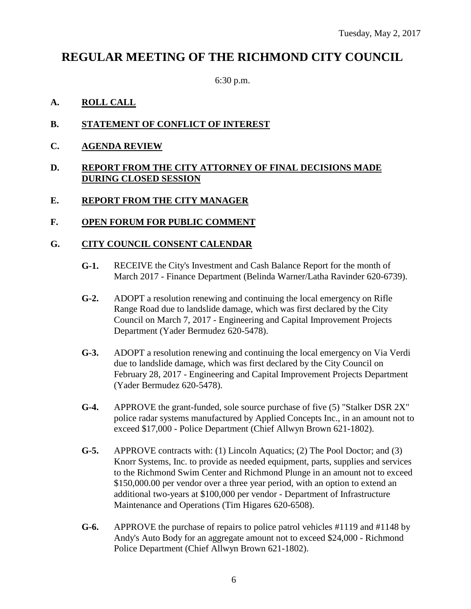# **REGULAR MEETING OF THE RICHMOND CITY COUNCIL**

6:30 p.m.

### **A. ROLL CALL**

- **B. STATEMENT OF CONFLICT OF INTEREST**
- **C. AGENDA REVIEW**

### **D. REPORT FROM THE CITY ATTORNEY OF FINAL DECISIONS MADE DURING CLOSED SESSION**

### **E. REPORT FROM THE CITY MANAGER**

### **F. OPEN FORUM FOR PUBLIC COMMENT**

### **G. CITY COUNCIL CONSENT CALENDAR**

- **G-1.** RECEIVE the City's Investment and Cash Balance Report for the month of March 2017 - Finance Department (Belinda Warner/Latha Ravinder 620-6739).
- **G-2.** ADOPT a resolution renewing and continuing the local emergency on Rifle Range Road due to landslide damage, which was first declared by the City Council on March 7, 2017 - Engineering and Capital Improvement Projects Department (Yader Bermudez 620-5478).
- **G-3.** ADOPT a resolution renewing and continuing the local emergency on Via Verdi due to landslide damage, which was first declared by the City Council on February 28, 2017 - Engineering and Capital Improvement Projects Department (Yader Bermudez 620-5478).
- **G-4.** APPROVE the grant-funded, sole source purchase of five (5) "Stalker DSR 2X" police radar systems manufactured by Applied Concepts Inc., in an amount not to exceed \$17,000 - Police Department (Chief Allwyn Brown 621-1802).
- **G-5.** APPROVE contracts with: (1) Lincoln Aquatics; (2) The Pool Doctor; and (3) Knorr Systems, Inc. to provide as needed equipment, parts, supplies and services to the Richmond Swim Center and Richmond Plunge in an amount not to exceed \$150,000.00 per vendor over a three year period, with an option to extend an additional two-years at \$100,000 per vendor - Department of Infrastructure Maintenance and Operations (Tim Higares 620-6508).
- **G-6.** APPROVE the purchase of repairs to police patrol vehicles #1119 and #1148 by Andy's Auto Body for an aggregate amount not to exceed \$24,000 - Richmond Police Department (Chief Allwyn Brown 621-1802).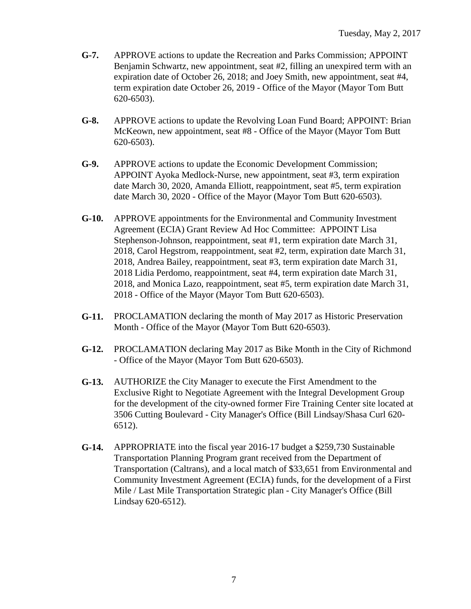- **G-7.** APPROVE actions to update the Recreation and Parks Commission; APPOINT Benjamin Schwartz, new appointment, seat #2, filling an unexpired term with an expiration date of October 26, 2018; and Joey Smith, new appointment, seat #4, term expiration date October 26, 2019 - Office of the Mayor (Mayor Tom Butt 620-6503).
- **G-8.** APPROVE actions to update the Revolving Loan Fund Board; APPOINT: Brian McKeown, new appointment, seat #8 - Office of the Mayor (Mayor Tom Butt 620-6503).
- **G-9.** APPROVE actions to update the Economic Development Commission; APPOINT Ayoka Medlock-Nurse, new appointment, seat #3, term expiration date March 30, 2020, Amanda Elliott, reappointment, seat #5, term expiration date March 30, 2020 - Office of the Mayor (Mayor Tom Butt 620-6503).
- **G-10.** APPROVE appointments for the Environmental and Community Investment Agreement (ECIA) Grant Review Ad Hoc Committee: APPOINT Lisa Stephenson-Johnson, reappointment, seat #1, term expiration date March 31, 2018, Carol Hegstrom, reappointment, seat #2, term, expiration date March 31, 2018, Andrea Bailey, reappointment, seat #3, term expiration date March 31, 2018 Lidia Perdomo, reappointment, seat #4, term expiration date March 31, 2018, and Monica Lazo, reappointment, seat #5, term expiration date March 31, 2018 - Office of the Mayor (Mayor Tom Butt 620-6503).
- **G-11.** PROCLAMATION declaring the month of May 2017 as Historic Preservation Month - Office of the Mayor (Mayor Tom Butt 620-6503).
- **G-12.** PROCLAMATION declaring May 2017 as Bike Month in the City of Richmond - Office of the Mayor (Mayor Tom Butt 620-6503).
- **G-13.** AUTHORIZE the City Manager to execute the First Amendment to the Exclusive Right to Negotiate Agreement with the Integral Development Group for the development of the city-owned former Fire Training Center site located at 3506 Cutting Boulevard - City Manager's Office (Bill Lindsay/Shasa Curl 620- 6512).
- **G-14.** APPROPRIATE into the fiscal year 2016-17 budget a \$259,730 Sustainable Transportation Planning Program grant received from the Department of Transportation (Caltrans), and a local match of \$33,651 from Environmental and Community Investment Agreement (ECIA) funds, for the development of a First Mile / Last Mile Transportation Strategic plan - City Manager's Office (Bill Lindsay 620-6512).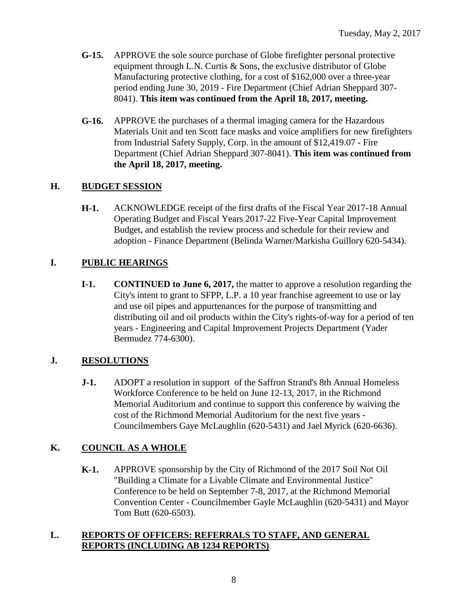- **G-15.** APPROVE the sole source purchase of Globe firefighter personal protective equipment through L.N. Curtis & Sons, the exclusive distributor of Globe Manufacturing protective clothing, for a cost of \$162,000 over a three-year period ending June 30, 2019 - Fire Department (Chief Adrian Sheppard 307- 8041). **This item was continued from the April 18, 2017, meeting.**
- **G-16.** APPROVE the purchases of a thermal imaging camera for the Hazardous Materials Unit and ten Scott face masks and voice amplifiers for new firefighters from Industrial Safety Supply, Corp. in the amount of \$12,419.07 - Fire Department (Chief Adrian Sheppard 307-8041). **This item was continued from the April 18, 2017, meeting.**

### **H. BUDGET SESSION**

**H-1.** ACKNOWLEDGE receipt of the first drafts of the Fiscal Year 2017-18 Annual Operating Budget and Fiscal Years 2017-22 Five-Year Capital Improvement Budget, and establish the review process and schedule for their review and adoption - Finance Department (Belinda Warner/Markisha Guillory 620-5434).

### **I. PUBLIC HEARINGS**

**I-1. CONTINUED to June 6, 2017,** the matter to approve a resolution regarding the City's intent to grant to SFPP, L.P. a 10 year franchise agreement to use or lay and use oil pipes and appurtenances for the purpose of transmitting and distributing oil and oil products within the City's rights-of-way for a period of ten years - Engineering and Capital Improvement Projects Department (Yader Bermudez 774-6300).

### **J. RESOLUTIONS**

**J-1.** ADOPT a resolution in support of the Saffron Strand's 8th Annual Homeless Workforce Conference to be held on June 12-13, 2017, in the Richmond Memorial Auditorium and continue to support this conference by waiving the cost of the Richmond Memorial Auditorium for the next five years - Councilmembers Gaye McLaughlin (620-5431) and Jael Myrick (620-6636).

### **K. COUNCIL AS A WHOLE**

**K-1.** APPROVE sponsorship by the City of Richmond of the 2017 Soil Not Oil "Building a Climate for a Livable Climate and Environmental Justice" Conference to be held on September 7-8, 2017, at the Richmond Memorial Convention Center - Councilmember Gayle McLaughlin (620-5431) and Mayor Tom Butt (620-6503).

### **L. REPORTS OF OFFICERS: REFERRALS TO STAFF, AND GENERAL REPORTS (INCLUDING AB 1234 REPORTS)**